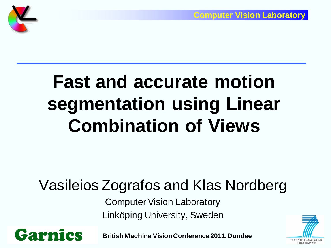

#### **Fast and accurate motion segmentation using Linear Combination of Views**

#### Vasileios Zografos and Klas Nordberg

Computer Vision Laboratory Linköping University, Sweden



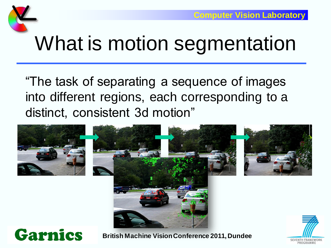**SFVENTH FRAMEWORK** PROGRAMME



# What is motion segmentation

"The task of separating a sequence of images into different regions, each corresponding to a distinct, consistent 3d motion"



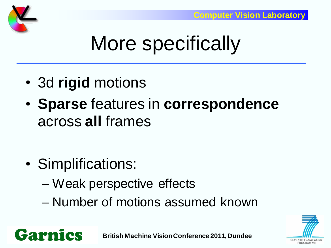

# More specifically

- 3d **rigid** motions
- **Sparse** features in **correspondence** across **all** frames
- Simplifications:

Garnics

- Weak perspective effects
- Number of motions assumed known

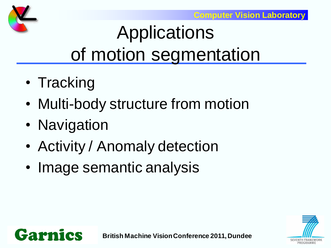

#### **Applications** of motion segmentation

- Tracking
- Multi-body structure from motion
- Navigation

Garnics

- Activity / Anomaly detection
- Image semantic analysis



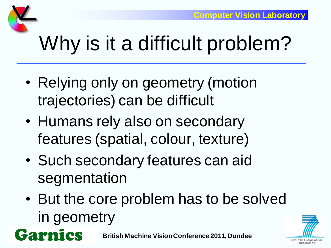

# Why is it a difficult problem?

- Relying only on geometry (motion trajectories) can be difficult
- Humans rely also on secondary features (spatial, colour, texture)
- Such secondary features can aid segmentation
- But the core problem has to be solved in geometry



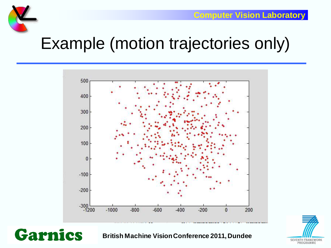

#### Example (motion trajectories only)





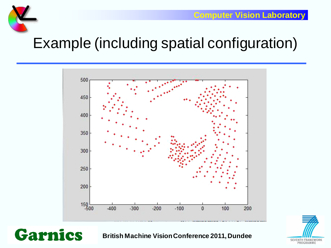

#### Example (including spatial configuration)





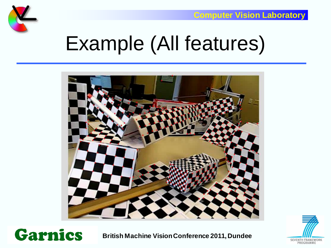



## Example (All features)





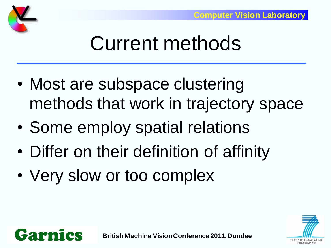

## Current methods

- Most are subspace clustering methods that work in trajectory space
- Some employ spatial relations
- Differ on their definition of affinity
- Very slow or too complex



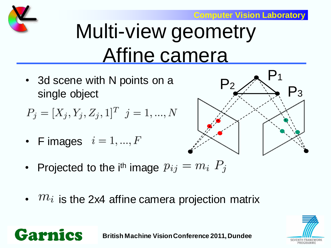



# Multi-view geometry Affine camera

• 3d scene with N points on a single object

$$
P_j = [X_j, Y_j, Z_j, 1]^T \ j = 1, ..., N
$$

• Fimages  $i=1,...,F$ 

Garnics



- Projected to the i<sup>th</sup> image
- $m_i$  is the 2x4 affine camera projection matrix

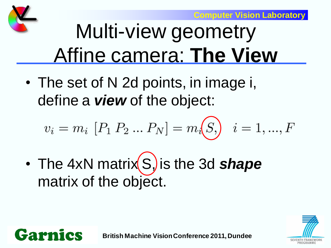



## Multi-view geometry Affine camera: **The View**

• The set of N 2d points, in image i, define a *view* of the object:

$$
v_i = m_i \, [P_1 \, P_2 \, \dots \, P_N] = m_i \, \textcircled{s}, \quad i = 1, \dots, F
$$

• The 4xN matrix(S<sub>2</sub>) is the 3d **shape** matrix of the object.

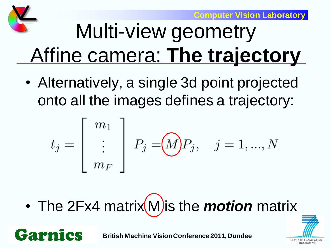

# Multi-view geometry Affine camera: **The trajectory**

• Alternatively, a single 3d point projected onto all the images defines a trajectory:

$$
t_j = \begin{bmatrix} m_1 \\ \vdots \\ m_F \end{bmatrix} P_j = \bigcirc R P_j, \quad j = 1, ..., N
$$

• The 2Fx4 matrix (M) is the **motion** matrix

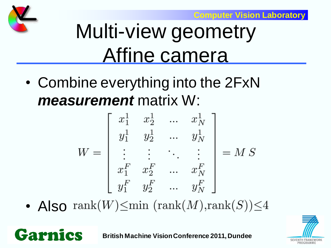



## Multi-view geometry Affine camera

• Combine everything into the 2FxN *measurement* matrix W:

$$
W = \left[ \begin{array}{ccccc} x_1^1 & x_2^1 & \ldots & x_N^1 \\ y_1^1 & y_2^1 & \ldots & y_N^1 \\ \vdots & \vdots & \ddots & \vdots \\ x_1^F & x_2^F & \ldots & x_N^F \\ y_1^F & y_2^F & \ldots & y_N^F \end{array} \right] = M \ S
$$

• Also rank $(W) \leq \min (\text{rank}(M), \text{rank}(S)) \leq 4$ 

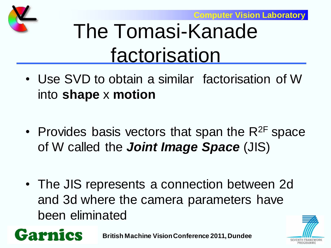



## The Tomasi-Kanade factorisation

- Use SVD to obtain a similar factorisation of W into **shape** x **motion**
- Provides basis vectors that span the  $R^{2F}$  space of W called the *Joint Image Space* (JIS)
- The JIS represents a connection between 2d and 3d where the camera parameters have been eliminated



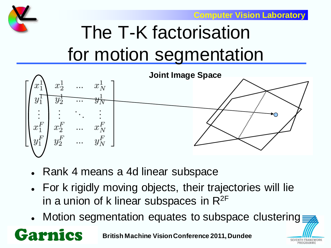**SFVFNTH FRAMFWORK** PROGRAMME



Garnics

## The T-K factorisation for motion segmentation



- Rank 4 means a 4d linear subspace
- For k rigidly moving objects, their trajectories will lie in a union of k linear subspaces in  $R^{2F}$
- Motion segmentation equates to subspace clustering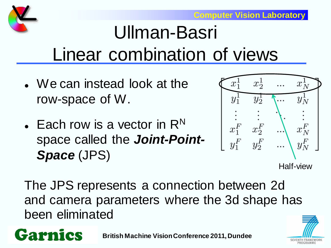

#### Ullman-Basri Linear combination of views

- We can instead look at the row-space of W.
- $\bullet$  Each row is a vector in  $\mathsf{R}^{\mathsf{N}}$ space called the *Joint-Point-Space* (JPS)



The JPS represents a connection between 2d and camera parameters where the 3d shape has been eliminated



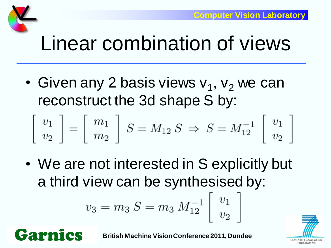

# Linear combination of views

• Given any 2 basis views  $v_1$ ,  $v_2$  we can reconstruct the 3d shape S by:

$$
\begin{bmatrix} v_1 \\ v_2 \end{bmatrix} = \begin{bmatrix} m_1 \\ m_2 \end{bmatrix} S = M_{12} S \Rightarrow S = M_{12}^{-1} \begin{bmatrix} v_1 \\ v_2 \end{bmatrix}
$$

• We are not interested in S explicitly but a third view can be synthesised by:

$$
v_3 = m_3 S = m_3 M_{12}^{-1} \begin{bmatrix} v_1 \\ v_2 \end{bmatrix}
$$

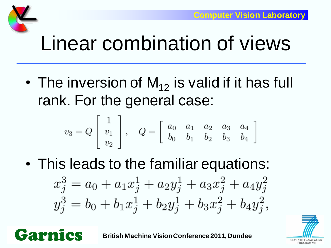

# Linear combination of views

• The inversion of  $M_{12}$  is valid if it has full rank. For the general case:

$$
v_3 = Q \begin{bmatrix} 1 \\ v_1 \\ v_2 \end{bmatrix}, \quad Q = \begin{bmatrix} a_0 & a_1 & a_2 & a_3 & a_4 \\ b_0 & b_1 & b_2 & b_3 & b_4 \end{bmatrix}
$$

• This leads to the familiar equations:

$$
x_j^3 = a_0 + a_1 x_j^1 + a_2 y_j^1 + a_3 x_j^2 + a_4 y_j^2
$$
  

$$
y_j^3 = b_0 + b_1 x_j^1 + b_2 y_j^1 + b_3 x_j^2 + b_4 y_j^2,
$$



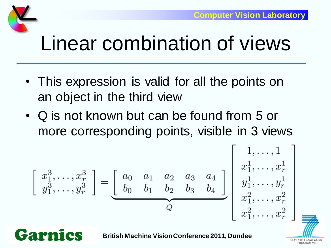

## Linear combination of views

- This expression is valid for all the points on an object in the third view
- Q is not known but can be found from 5 or more corresponding points, visible in 3 views

$$
\begin{bmatrix} x_1^3, \dots, x_r^3 \\ y_1^3, \dots, y_r^3 \end{bmatrix} = \underbrace{\begin{bmatrix} a_0 & a_1 & a_2 & a_3 & a_4 \\ b_0 & b_1 & b_2 & b_3 & b_4 \end{bmatrix}}_{Q} \begin{bmatrix} 1, \dots, 1 \\ x_1^1, \dots, x_r^1 \\ y_1^1, \dots, y_r^1 \\ x_1^2, \dots, x_r^2 \\ x_1^2, \dots, x_r^2 \end{bmatrix}
$$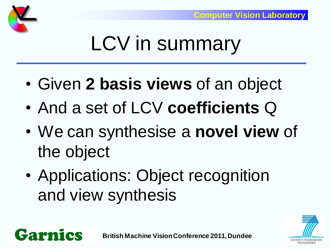

# LCV in summary

- Given **2 basis views** of an object
- And a set of LCV **coefficients** Q
- We can synthesise a **novel view** of the object
- Applications: Object recognition and view synthesis

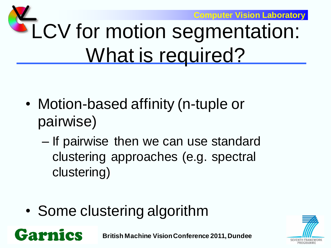

# LCV for motion segmentation: What is required?

- Motion-based affinity (n-tuple or pairwise)
	- If pairwise then we can use standard clustering approaches (e.g. spectral clustering)
- Some clustering algorithm

Garnics

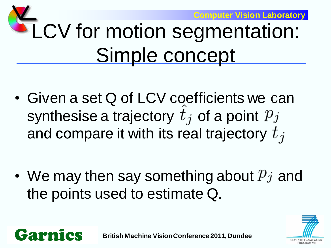

# LCV for motion segmentation: Simple concept

• Given a set Q of LCV coefficients we can synthesise a trajectory  $t_j$  of a point  $p_j$ and compare it with its real trajectory  $t_i$ 

• We may then say something about  $P_i$  and the points used to estimate Q.

Garnics

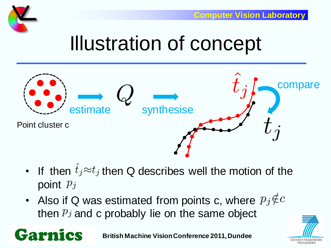

## Illustration of concept



- If then  $\hat{t}_j \approx t_j$  then Q describes well the motion of the point  $p_j$
- Also if Q was estimated from points c, where  $p_j \notin c$ then  $P_i$  and c probably lie on the same object

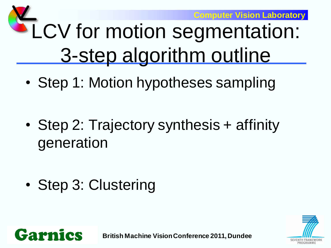

# LCV for motion segmentation: 3-step algorithm outline

- Step 1: Motion hypotheses sampling
- Step 2: Trajectory synthesis + affinity generation

• Step 3: Clustering

Garnics



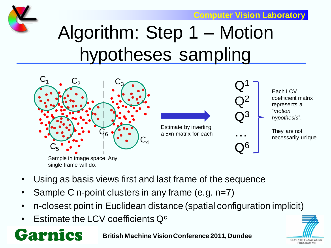



#### Algorithm: Step 1 – Motion hypotheses sampling





- Using as basis views first and last frame of the sequence
- Sample C n-point clusters in any frame (e.g. n=7)
- n-closest point in Euclidean distance (spatial configuration implicit)
- Estimate the LCV coefficients  $Q<sup>c</sup>$

Garnics



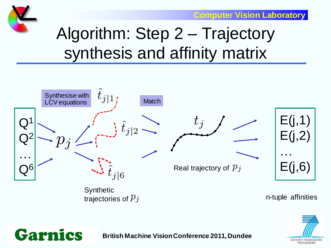



#### Algorithm: Step 2 – Trajectory synthesis and affinity matrix



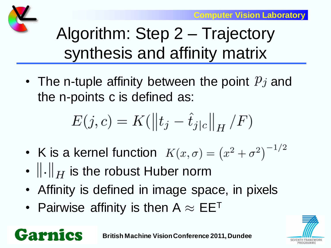

#### Algorithm: Step 2 – Trajectory synthesis and affinity matrix

• The n-tuple affinity between the point  $p_j$  and the n-points c is defined as:

$$
E(j, c) = K(||t_j - \hat{t}_{j|c}||_H / F)
$$

- K is a kernel function  $K(x, \sigma) = (x^2 + \sigma^2)^{-1/2}$
- $\cdot \|\. \|_H$  is the robust Huber norm
- Affinity is defined in image space, in pixels
- Pairwise affinity is then A  $\approx$  EE<sup>T</sup>

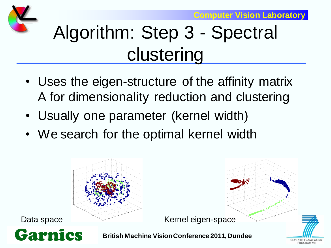

#### Algorithm: Step 3 - Spectral clustering

- Uses the eigen-structure of the affinity matrix A for dimensionality reduction and clustering
- Usually one parameter (kernel width)
- We search for the optimal kernel width

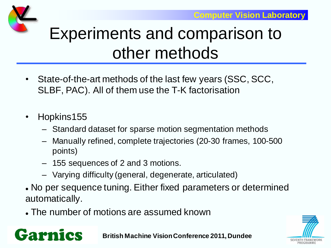

#### Experiments and comparison to other methods

- State-of-the-art methods of the last few years (SSC, SCC, SLBF, PAC). All of them use the T-K factorisation
- Hopkins155

Garnics

- Standard dataset for sparse motion segmentation methods
- Manually refined, complete trajectories (20-30 frames, 100-500 points)
- 155 sequences of 2 and 3 motions.
- Varying difficulty (general, degenerate, articulated)
- No per sequence tuning. Either fixed parameters or determined automatically.
- The number of motions are assumed known

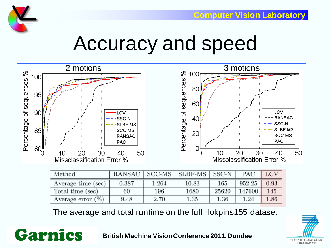

#### Accuracy and speed



| Method               | RANSAC | $SCC-MS$ | SLBF-MS  | $SSC-N$  | <b>PAC</b> | $_{\rm{LCV}}$ |
|----------------------|--------|----------|----------|----------|------------|---------------|
| Average time (sec)   | 0.387  | 1.264    | 10.83    | 165      | 952.25     | 0.93          |
| Total time (sec)     | 60     | 196      | 1680     | 25620    | 147600     | 145           |
| Average error $(\%)$ | 9.48   | 2.70     | $1.35\,$ | $1.36\,$ | 1.24       | 1.86          |

The average and total runtime on the full Hokpins155 dataset

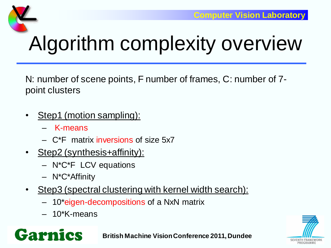# Algorithm complexity overview

N: number of scene points, F number of frames, C: number of 7 point clusters

- Step1 (motion sampling):
	- K-means
	- C\*F matrix inversions of size 5x7
- Step2 (synthesis+affinity):
	- N\*C\*F LCV equations
	- N\*C\*Affinity
- Step3 (spectral clustering with kernel width search):
	- 10\*eigen-decompositions of a NxN matrix
	- 10\*K-means

Garnics

**SFVFNTH FRAMFWORK** PROGRAMME